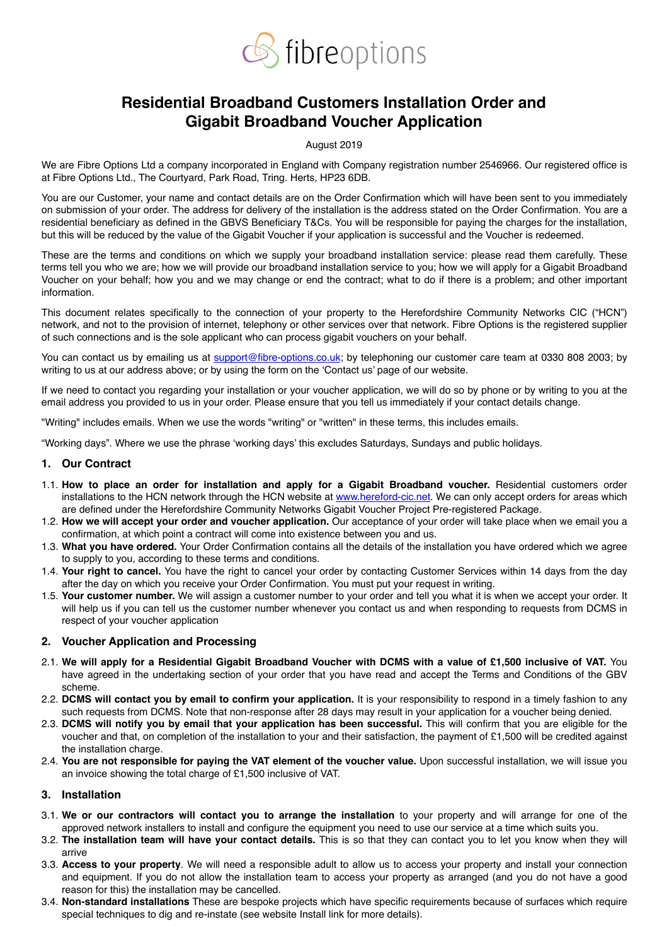

# **Residential Broadband Customers Installation Order and Gigabit Broadband Voucher Application**

#### August 2019

We are Fibre Options Ltd a company incorporated in England with Company registration number 2546966. Our registered office is at Fibre Options Ltd., The Courtyard, Park Road, Tring. Herts, HP23 6DB.

You are our Customer, your name and contact details are on the Order Confirmation which will have been sent to you immediately on submission of your order. The address for delivery of the installation is the address stated on the Order Confirmation. You are a residential beneficiary as defined in the GBVS Beneficiary T&Cs. You will be responsible for paying the charges for the installation, but this will be reduced by the value of the Gigabit Voucher if your application is successful and the Voucher is redeemed.

These are the terms and conditions on which we supply your broadband installation service: please read them carefully. These terms tell you who we are; how we will provide our broadband installation service to you; how we will apply for a Gigabit Broadband Voucher on your behalf; how you and we may change or end the contract; what to do if there is a problem; and other important information.

This document relates specifically to the connection of your property to the Herefordshire Community Networks CIC ("HCN") network, and not to the provision of internet, telephony or other services over that network. Fibre Options is the registered supplier of such connections and is the sole applicant who can process gigabit vouchers on your behalf.

You can contact us by emailing us at [support@fibre-options.co.uk](mailto:support@fibre-options.co.uk); by telephoning our customer care team at 0330 808 2003; by writing to us at our address above; or by using the form on the 'Contact us' page of our website.

If we need to contact you regarding your installation or your voucher application, we will do so by phone or by writing to you at the email address you provided to us in your order. Please ensure that you tell us immediately if your contact details change.

"Writing" includes emails. When we use the words "writing" or "written" in these terms, this includes emails.

"Working days". Where we use the phrase 'working days' this excludes Saturdays, Sundays and public holidays.

#### **1. Our Contract**

- 1.1. **How to place an order for installation and apply for a Gigabit Broadband voucher.** Residential customers order installations to the HCN network through the HCN website at [www.hereford-cic.net](http://www.hereford-cic.net). We can only accept orders for areas which are defined under the Herefordshire Community Networks Gigabit Voucher Project Pre-registered Package.
- 1.2. **How we will accept your order and voucher application.** Our acceptance of your order will take place when we email you a confirmation, at which point a contract will come into existence between you and us.
- 1.3. **What you have ordered.** Your Order Confirmation contains all the details of the installation you have ordered which we agree to supply to you, according to these terms and conditions.
- 1.4. **Your right to cancel.** You have the right to cancel your order by contacting Customer Services within 14 days from the day after the day on which you receive your Order Confirmation. You must put your request in writing.
- 1.5. **Your customer number.** We will assign a customer number to your order and tell you what it is when we accept your order. It will help us if you can tell us the customer number whenever you contact us and when responding to requests from DCMS in respect of your voucher application

#### **2. Voucher Application and Processing**

- 2.1. **We will apply for a Residential Gigabit Broadband Voucher with DCMS with a value of £1,500 inclusive of VAT.** You have agreed in the undertaking section of your order that you have read and accept the Terms and Conditions of the GBV scheme.
- 2.2. **DCMS will contact you by email to confirm your application.** It is your responsibility to respond in a timely fashion to any such requests from DCMS. Note that non-response after 28 days may result in your application for a voucher being denied.
- 2.3. **DCMS will notify you by email that your application has been successful.** This will confirm that you are eligible for the voucher and that, on completion of the installation to your and their satisfaction, the payment of £1,500 will be credited against the installation charge.
- 2.4. **You are not responsible for paying the VAT element of the voucher value.** Upon successful installation, we will issue you an invoice showing the total charge of £1,500 inclusive of VAT.

#### **3. Installation**

- 3.1. **We or our contractors will contact you to arrange the installation** to your property and will arrange for one of the approved network installers to install and configure the equipment you need to use our service at a time which suits you.
- 3.2. **The installation team will have your contact details.** This is so that they can contact you to let you know when they will arrive
- 3.3. **Access to your property**. We will need a responsible adult to allow us to access your property and install your connection and equipment. If you do not allow the installation team to access your property as arranged (and you do not have a good reason for this) the installation may be cancelled.
- 3.4. **Non-standard installations** These are bespoke projects which have specific requirements because of surfaces which require special techniques to dig and re-instate (see website Install link for more details).